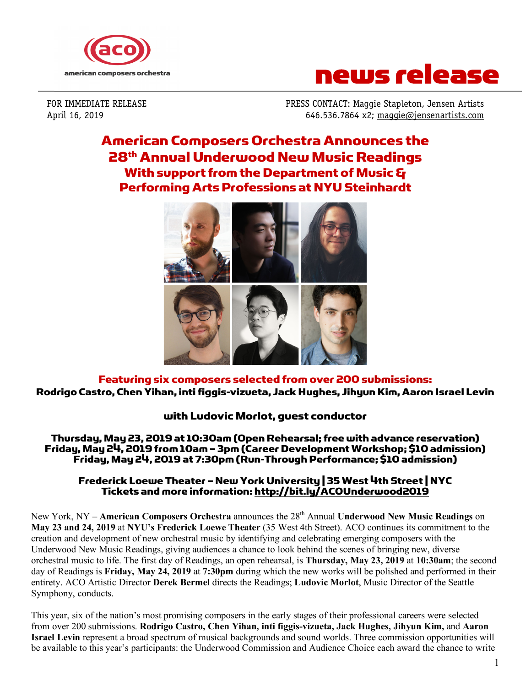



FOR IMMEDIATE RELEASE PRESS CONTACT: Maggie Stapleton, Jensen Artists April 16, 2019 646.536.7864 x2; maggie@jensenartists.com

# American Composers Orchestra Announces the 28th Annual Underwood New Music Readings With support from the Department of Music & Performing Arts Professions at NYU Steinhardt



## Featuring six composers selected from over 200 submissions: Rodrigo Castro, Chen Yihan, inti figgis-vizueta, Jack Hughes, Jihyun Kim, Aaron Israel Levin

## with Ludovic Morlot, guest conductor

Thursday, May 23, 2019 at 10:30am (Open Rehearsal; free with advance reservation) Friday, May 24, 2019 from 10am – 3pm (Career Development Workshop; \$10 admission) Friday, May 24, 2019 at 7:30pm (Run-Through Performance; \$10 admission)

### Frederick Loewe Theater –New York University | 35 West 4th Street | NYC Tickets and more information: http://bit.ly/ACOUnderwood2019

New York, NY – **American Composers Orchestra** announces the 28th Annual **Underwood New Music Readings** on **May 23 and 24, 2019** at **NYU's Frederick Loewe Theater** (35 West 4th Street). ACO continues its commitment to the creation and development of new orchestral music by identifying and celebrating emerging composers with the Underwood New Music Readings, giving audiences a chance to look behind the scenes of bringing new, diverse orchestral music to life. The first day of Readings, an open rehearsal, is **Thursday, May 23, 2019** at **10:30am**; the second day of Readings is **Friday, May 24, 2019** at **7:30pm** during which the new works will be polished and performed in their entirety. ACO Artistic Director **Derek Bermel** directs the Readings; **Ludovic Morlot**, Music Director of the Seattle Symphony, conducts.

This year, six of the nation's most promising composers in the early stages of their professional careers were selected from over 200 submissions. **Rodrigo Castro, Chen Yihan, inti figgis-vizueta, Jack Hughes, Jihyun Kim,** and **Aaron Israel Levin** represent a broad spectrum of musical backgrounds and sound worlds. Three commission opportunities will be available to this year's participants: the Underwood Commission and Audience Choice each award the chance to write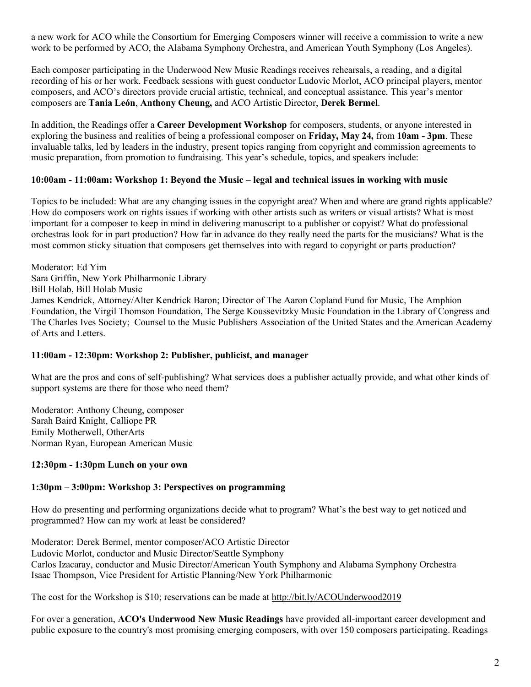a new work for ACO while the Consortium for Emerging Composers winner will receive a commission to write a new work to be performed by ACO, the Alabama Symphony Orchestra, and American Youth Symphony (Los Angeles).

Each composer participating in the Underwood New Music Readings receives rehearsals, a reading, and a digital recording of his or her work. Feedback sessions with guest conductor Ludovic Morlot, ACO principal players, mentor composers, and ACO's directors provide crucial artistic, technical, and conceptual assistance. This year's mentor composers are **Tania León**, **Anthony Cheung,** and ACO Artistic Director, **Derek Bermel**.

In addition, the Readings offer a **Career Development Workshop** for composers, students, or anyone interested in exploring the business and realities of being a professional composer on **Friday, May 24,** from **10am - 3pm**. These invaluable talks, led by leaders in the industry, present topics ranging from copyright and commission agreements to music preparation, from promotion to fundraising. This year's schedule, topics, and speakers include:

#### **10:00am - 11:00am: Workshop 1: Beyond the Music – legal and technical issues in working with music**

Topics to be included: What are any changing issues in the copyright area? When and where are grand rights applicable? How do composers work on rights issues if working with other artists such as writers or visual artists? What is most important for a composer to keep in mind in delivering manuscript to a publisher or copyist? What do professional orchestras look for in part production? How far in advance do they really need the parts for the musicians? What is the most common sticky situation that composers get themselves into with regard to copyright or parts production?

Moderator: Ed Yim Sara Griffin, New York Philharmonic Library Bill Holab, Bill Holab Music James Kendrick, Attorney/Alter Kendrick Baron; Director of The Aaron Copland Fund for Music, The Amphion Foundation, the Virgil Thomson Foundation, The Serge Koussevitzky Music Foundation in the Library of Congress and The Charles Ives Society; Counsel to the Music Publishers Association of the United States and the American Academy of Arts and Letters.

#### **11:00am - 12:30pm: Workshop 2: Publisher, publicist, and manager**

What are the pros and cons of self-publishing? What services does a publisher actually provide, and what other kinds of support systems are there for those who need them?

Moderator: Anthony Cheung, composer Sarah Baird Knight, Calliope PR Emily Motherwell, OtherArts Norman Ryan, European American Music

#### **12:30pm - 1:30pm Lunch on your own**

#### **1:30pm – 3:00pm: Workshop 3: Perspectives on programming**

How do presenting and performing organizations decide what to program? What's the best way to get noticed and programmed? How can my work at least be considered?

Moderator: Derek Bermel, mentor composer/ACO Artistic Director Ludovic Morlot, conductor and Music Director/Seattle Symphony Carlos Izacaray, conductor and Music Director/American Youth Symphony and Alabama Symphony Orchestra Isaac Thompson, Vice President for Artistic Planning/New York Philharmonic

The cost for the Workshop is \$10; reservations can be made at http://bit.ly/ACOUnderwood2019

For over a generation, **ACO's Underwood New Music Readings** have provided all-important career development and public exposure to the country's most promising emerging composers, with over 150 composers participating. Readings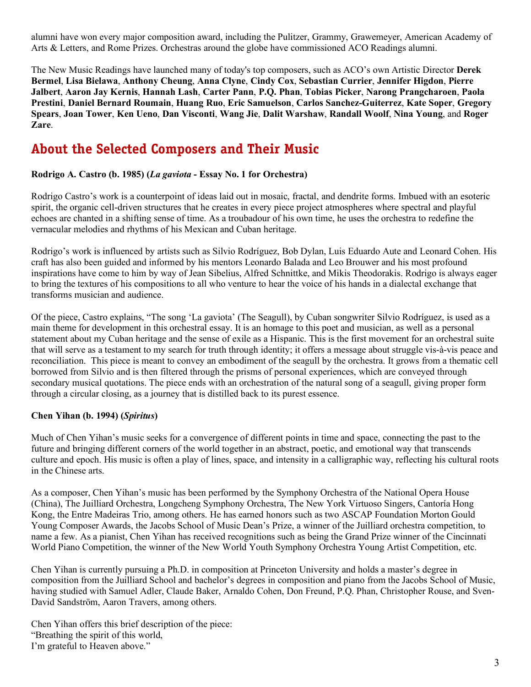alumni have won every major composition award, including the Pulitzer, Grammy, Grawemeyer, American Academy of Arts & Letters, and Rome Prizes. Orchestras around the globe have commissioned ACO Readings alumni.

The New Music Readings have launched many of today's top composers, such as ACO's own Artistic Director **Derek Bermel**, **Lisa Bielawa**, **Anthony Cheung**, **Anna Clyne**, **Cindy Cox**, **Sebastian Currier**, **Jennifer Higdon**, **Pierre Jalbert**, **Aaron Jay Kernis**, **Hannah Lash**, **Carter Pann**, **P.Q. Phan**, **Tobias Picker**, **Narong Prangcharoen**, **Paola Prestini**, **Daniel Bernard Roumain**, **Huang Ruo**, **Eric Samuelson**, **Carlos Sanchez-Guiterrez**, **Kate Soper**, **Gregory Spears**, **Joan Tower**, **Ken Ueno**, **Dan Visconti**, **Wang Jie**, **Dalit Warshaw**, **Randall Woolf**, **Nina Young**, and **Roger Zare**.

# **About the Selected Composers and Their Music**

#### **Rodrigo A. Castro (b. 1985) (***La gaviota* **- Essay No. 1 for Orchestra)**

Rodrigo Castro's work is a counterpoint of ideas laid out in mosaic, fractal, and dendrite forms. Imbued with an esoteric spirit, the organic cell-driven structures that he creates in every piece project atmospheres where spectral and playful echoes are chanted in a shifting sense of time. As a troubadour of his own time, he uses the orchestra to redefine the vernacular melodies and rhythms of his Mexican and Cuban heritage.

Rodrigo's work is influenced by artists such as Silvio Rodríguez, Bob Dylan, Luis Eduardo Aute and Leonard Cohen. His craft has also been guided and informed by his mentors Leonardo Balada and Leo Brouwer and his most profound inspirations have come to him by way of Jean Sibelius, Alfred Schnittke, and Mikis Theodorakis. Rodrigo is always eager to bring the textures of his compositions to all who venture to hear the voice of his hands in a dialectal exchange that transforms musician and audience.

Of the piece, Castro explains, "The song 'La gaviota' (The Seagull), by Cuban songwriter Silvio Rodríguez, is used as a main theme for development in this orchestral essay. It is an homage to this poet and musician, as well as a personal statement about my Cuban heritage and the sense of exile as a Hispanic. This is the first movement for an orchestral suite that will serve as a testament to my search for truth through identity; it offers a message about struggle vis-à-vis peace and reconciliation. This piece is meant to convey an embodiment of the seagull by the orchestra. It grows from a thematic cell borrowed from Silvio and is then filtered through the prisms of personal experiences, which are conveyed through secondary musical quotations. The piece ends with an orchestration of the natural song of a seagull, giving proper form through a circular closing, as a journey that is distilled back to its purest essence.

#### **Chen Yihan (b. 1994) (***Spiritus***)**

Much of Chen Yihan's music seeks for a convergence of different points in time and space, connecting the past to the future and bringing different corners of the world together in an abstract, poetic, and emotional way that transcends culture and epoch. His music is often a play of lines, space, and intensity in a calligraphic way, reflecting his cultural roots in the Chinese arts.

As a composer, Chen Yihan's music has been performed by the Symphony Orchestra of the National Opera House (China), The Juilliard Orchestra, Longcheng Symphony Orchestra, The New York Virtuoso Singers, Cantoría Hong Kong, the Entre Madeiras Trio, among others. He has earned honors such as two ASCAP Foundation Morton Gould Young Composer Awards, the Jacobs School of Music Dean's Prize, a winner of the Juilliard orchestra competition, to name a few. As a pianist, Chen Yihan has received recognitions such as being the Grand Prize winner of the Cincinnati World Piano Competition, the winner of the New World Youth Symphony Orchestra Young Artist Competition, etc.

Chen Yihan is currently pursuing a Ph.D. in composition at Princeton University and holds a master's degree in composition from the Juilliard School and bachelor's degrees in composition and piano from the Jacobs School of Music, having studied with Samuel Adler, Claude Baker, Arnaldo Cohen, Don Freund, P.Q. Phan, Christopher Rouse, and Sven-David Sandström, Aaron Travers, among others.

Chen Yihan offers this brief description of the piece: "Breathing the spirit of this world, I'm grateful to Heaven above."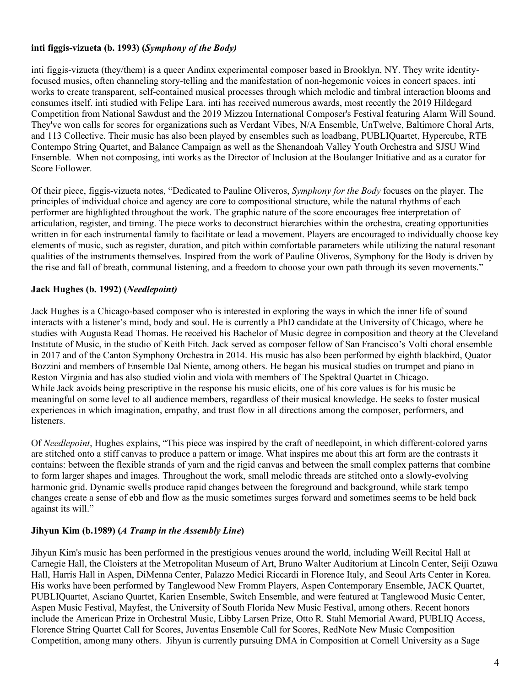### **inti figgis-vizueta (b. 1993) (***Symphony of the Body)*

inti figgis-vizueta (they/them) is a queer Andinx experimental composer based in Brooklyn, NY. They write identityfocused musics, often channeling story-telling and the manifestation of non-hegemonic voices in concert spaces. inti works to create transparent, self-contained musical processes through which melodic and timbral interaction blooms and consumes itself. inti studied with Felipe Lara. inti has received numerous awards, most recently the 2019 Hildegard Competition from National Sawdust and the 2019 Mizzou International Composer's Festival featuring Alarm Will Sound. They've won calls for scores for organizations such as Verdant Vibes, N/A Ensemble, UnTwelve, Baltimore Choral Arts, and 113 Collective. Their music has also been played by ensembles such as loadbang, PUBLIQuartet, Hypercube, RTE Contempo String Quartet, and Balance Campaign as well as the Shenandoah Valley Youth Orchestra and SJSU Wind Ensemble. When not composing, inti works as the Director of Inclusion at the Boulanger Initiative and as a curator for Score Follower.

Of their piece, figgis-vizueta notes, "Dedicated to Pauline Oliveros, *Symphony for the Body* focuses on the player. The principles of individual choice and agency are core to compositional structure, while the natural rhythms of each performer are highlighted throughout the work. The graphic nature of the score encourages free interpretation of articulation, register, and timing. The piece works to deconstruct hierarchies within the orchestra, creating opportunities written in for each instrumental family to facilitate or lead a movement. Players are encouraged to individually choose key elements of music, such as register, duration, and pitch within comfortable parameters while utilizing the natural resonant qualities of the instruments themselves. Inspired from the work of Pauline Oliveros, Symphony for the Body is driven by the rise and fall of breath, communal listening, and a freedom to choose your own path through its seven movements."

### **Jack Hughes (b. 1992) (***Needlepoint)*

Jack Hughes is a Chicago-based composer who is interested in exploring the ways in which the inner life of sound interacts with a listener's mind, body and soul. He is currently a PhD candidate at the University of Chicago, where he studies with Augusta Read Thomas. He received his Bachelor of Music degree in composition and theory at the Cleveland Institute of Music, in the studio of Keith Fitch. Jack served as composer fellow of San Francisco's Volti choral ensemble in 2017 and of the Canton Symphony Orchestra in 2014. His music has also been performed by eighth blackbird, Quator Bozzini and members of Ensemble Dal Niente, among others. He began his musical studies on trumpet and piano in Reston Virginia and has also studied violin and viola with members of The Spektral Quartet in Chicago. While Jack avoids being prescriptive in the response his music elicits, one of his core values is for his music be meaningful on some level to all audience members, regardless of their musical knowledge. He seeks to foster musical experiences in which imagination, empathy, and trust flow in all directions among the composer, performers, and listeners.

Of *Needlepoint*, Hughes explains, "This piece was inspired by the craft of needlepoint, in which different-colored yarns are stitched onto a stiff canvas to produce a pattern or image. What inspires me about this art form are the contrasts it contains: between the flexible strands of yarn and the rigid canvas and between the small complex patterns that combine to form larger shapes and images. Throughout the work, small melodic threads are stitched onto a slowly-evolving harmonic grid. Dynamic swells produce rapid changes between the foreground and background, while stark tempo changes create a sense of ebb and flow as the music sometimes surges forward and sometimes seems to be held back against its will."

#### **Jihyun Kim (b.1989) (***A Tramp in the Assembly Line***)**

Jihyun Kim's music has been performed in the prestigious venues around the world, including Weill Recital Hall at Carnegie Hall, the Cloisters at the Metropolitan Museum of Art, Bruno Walter Auditorium at Lincoln Center, Seiji Ozawa Hall, Harris Hall in Aspen, DiMenna Center, Palazzo Medici Riccardi in Florence Italy, and Seoul Arts Center in Korea. His works have been performed by Tanglewood New Fromm Players, Aspen Contemporary Ensemble, JACK Quartet, PUBLIQuartet, Asciano Quartet, Karien Ensemble, Switch Ensemble, and were featured at Tanglewood Music Center, Aspen Music Festival, Mayfest, the University of South Florida New Music Festival, among others. Recent honors include the American Prize in Orchestral Music, Libby Larsen Prize, Otto R. Stahl Memorial Award, PUBLIQ Access, Florence String Quartet Call for Scores, Juventas Ensemble Call for Scores, RedNote New Music Composition Competition, among many others. Jihyun is currently pursuing DMA in Composition at Cornell University as a Sage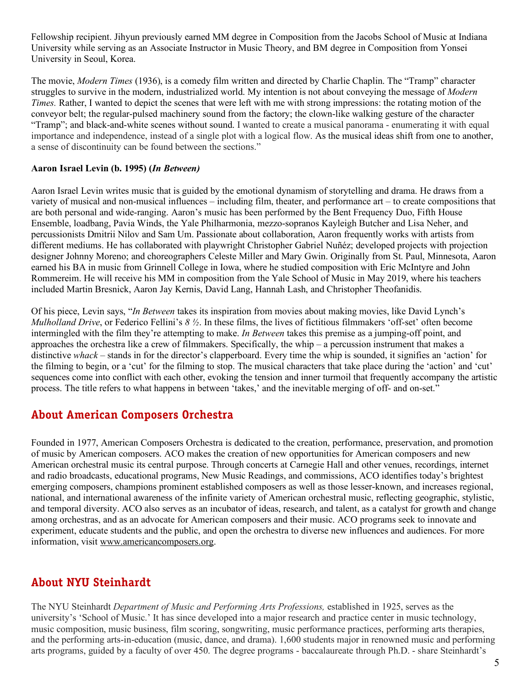Fellowship recipient. Jihyun previously earned MM degree in Composition from the Jacobs School of Music at Indiana University while serving as an Associate Instructor in Music Theory, and BM degree in Composition from Yonsei University in Seoul, Korea.

The movie, *Modern Times* (1936), is a comedy film written and directed by Charlie Chaplin. The "Tramp" character struggles to survive in the modern, industrialized world. My intention is not about conveying the message of *Modern Times.* Rather, I wanted to depict the scenes that were left with me with strong impressions: the rotating motion of the conveyor belt; the regular-pulsed machinery sound from the factory; the clown-like walking gesture of the character "Tramp"; and black-and-white scenes without sound. I wanted to create a musical panorama - enumerating it with equal importance and independence, instead of a single plot with a logical flow. As the musical ideas shift from one to another, a sense of discontinuity can be found between the sections."

#### **Aaron Israel Levin (b. 1995) (***In Between)*

Aaron Israel Levin writes music that is guided by the emotional dynamism of storytelling and drama. He draws from a variety of musical and non-musical influences – including film, theater, and performance art – to create compositions that are both personal and wide-ranging. Aaron's music has been performed by the Bent Frequency Duo, Fifth House Ensemble, loadbang, Pavia Winds, the Yale Philharmonia, mezzo-sopranos Kayleigh Butcher and Lisa Neher, and percussionists Dmitrii Nilov and Sam Um. Passionate about collaboration, Aaron frequently works with artists from different mediums. He has collaborated with playwright Christopher Gabriel Nuñéz; developed projects with projection designer Johnny Moreno; and choreographers Celeste Miller and Mary Gwin. Originally from St. Paul, Minnesota, Aaron earned his BA in music from Grinnell College in Iowa, where he studied composition with Eric McIntyre and John Rommereim. He will receive his MM in composition from the Yale School of Music in May 2019, where his teachers included Martin Bresnick, Aaron Jay Kernis, David Lang, Hannah Lash, and Christopher Theofanidis.

Of his piece, Levin says, "*In Between* takes its inspiration from movies about making movies, like David Lynch's *Mulholland Drive*, or Federico Fellini's *8 ½*. In these films, the lives of fictitious filmmakers 'off-set' often become intermingled with the film they're attempting to make. *In Between* takes this premise as a jumping-off point, and approaches the orchestra like a crew of filmmakers. Specifically, the whip – a percussion instrument that makes a distinctive *whack* – stands in for the director's clapperboard. Every time the whip is sounded, it signifies an 'action' for the filming to begin, or a 'cut' for the filming to stop. The musical characters that take place during the 'action' and 'cut' sequences come into conflict with each other, evoking the tension and inner turmoil that frequently accompany the artistic process. The title refers to what happens in between 'takes,' and the inevitable merging of off- and on-set."

## **About American Composers Orchestra**

Founded in 1977, American Composers Orchestra is dedicated to the creation, performance, preservation, and promotion of music by American composers. ACO makes the creation of new opportunities for American composers and new American orchestral music its central purpose. Through concerts at Carnegie Hall and other venues, recordings, internet and radio broadcasts, educational programs, New Music Readings, and commissions, ACO identifies today's brightest emerging composers, champions prominent established composers as well as those lesser-known, and increases regional, national, and international awareness of the infinite variety of American orchestral music, reflecting geographic, stylistic, and temporal diversity. ACO also serves as an incubator of ideas, research, and talent, as a catalyst for growth and change among orchestras, and as an advocate for American composers and their music. ACO programs seek to innovate and experiment, educate students and the public, and open the orchestra to diverse new influences and audiences. For more information, visit www.americancomposers.org.

# **About NYU Steinhardt**

The NYU Steinhardt *Department of Music and Performing Arts Professions,* established in 1925, serves as the university's 'School of Music.' It has since developed into a major research and practice center in music technology, music composition, music business, film scoring, songwriting, music performance practices, performing arts therapies, and the performing arts-in-education (music, dance, and drama). 1,600 students major in renowned music and performing arts programs, guided by a faculty of over 450. The degree programs - baccalaureate through Ph.D. - share Steinhardt's